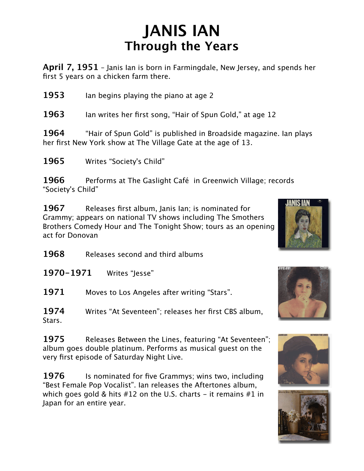## **JANIS IAN Through the Years**

**April 7, 1951** – Janis Ian is born in Farmingdale, New Jersey, and spends her first 5 years on a chicken farm there.

**1953** Ian begins playing the piano at age 2

**1963** Ian writes her first song, "Hair of Spun Gold," at age 12

**1964** "Hair of Spun Gold" is published in Broadside magazine. Ian plays her first New York show at The Village Gate at the age of 13.

**1965** Writes "Society's Child"

**1966** Performs at The Gaslight Café in Greenwich Village; records "Society's Child"

**1967** Releases first album, Janis Ian; is nominated for Grammy; appears on national TV shows including The Smothers Brothers Comedy Hour and The Tonight Show; tours as an opening act for Donovan

**1968** Releases second and third albums

**1970-1971** Writes "Jesse"

**1971** Moves to Los Angeles after writing "Stars".

**1974** Writes "At Seventeen"; releases her first CBS album, Stars.

**1975** Releases Between the Lines, featuring "At Seventeen"; album goes double platinum. Performs as musical guest on the very first episode of Saturday Night Live.

**1976** Is nominated for five Grammys; wins two, including "Best Female Pop Vocalist". Ian releases the Aftertones album, which goes gold & hits  $#12$  on the U.S. charts – it remains  $#1$  in Japan for an entire year.